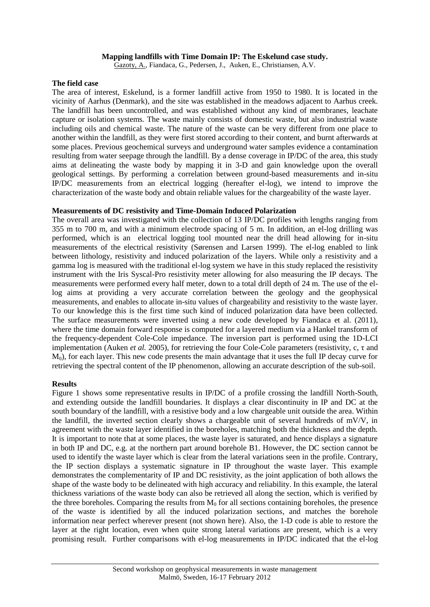# **Mapping landfills with Time Domain IP: The Eskelund case study.**

Gazoty, A., Fiandaca, G., Pedersen, J., Auken, E., Christiansen, A.V.

# **The field case**

The area of interest, Eskelund, is a former landfill active from 1950 to 1980. It is located in the vicinity of Aarhus (Denmark), and the site was established in the meadows adjacent to Aarhus creek. The landfill has been uncontrolled, and was established without any kind of membranes, leachate capture or isolation systems. The waste mainly consists of domestic waste, but also industrial waste including oils and chemical waste. The nature of the waste can be very different from one place to another within the landfill, as they were first stored according to their content, and burnt afterwards at some places. Previous geochemical surveys and underground water samples evidence a contamination resulting from water seepage through the landfill. By a dense coverage in IP/DC of the area, this study aims at delineating the waste body by mapping it in 3-D and gain knowledge upon the overall geological settings. By performing a correlation between ground-based measurements and in-situ IP/DC measurements from an electrical logging (hereafter el-log), we intend to improve the characterization of the waste body and obtain reliable values for the chargeability of the waste layer.

### **Measurements of DC resistivity and Time-Domain Induced Polarization**

The overall area was investigated with the collection of 13 IP/DC profiles with lengths ranging from 355 m to 700 m, and with a minimum electrode spacing of 5 m. In addition, an el-log drilling was performed, which is an electrical logging tool mounted near the drill head allowing for in-situ measurements of the electrical resistivity (Sørensen and Larsen 1999). The el-log enabled to link between lithology, resistivity and induced polarization of the layers. While only a resistivity and a gamma log is measured with the traditional el-log system we have in this study replaced the resistivity instrument with the Iris Syscal-Pro resistivity meter allowing for also measuring the IP decays. The measurements were performed every half meter, down to a total drill depth of 24 m. The use of the ellog aims at providing a very accurate correlation between the geology and the geophysical measurements, and enables to allocate in-situ values of chargeability and resistivity to the waste layer. To our knowledge this is the first time such kind of induced polarization data have been collected. The surface measurements were inverted using a new code developed by Fiandaca et al. (2011), where the time domain forward response is computed for a layered medium via a Hankel transform of the frequency-dependent Cole-Cole impedance. The inversion part is performed using the 1D-LCI implementation (Auken *et al.* 2005), for retrieving the four Cole-Cole parameters (resistivity, c, τ and M0), for each layer. This new code presents the main advantage that it uses the full IP decay curve for retrieving the spectral content of the IP phenomenon, allowing an accurate description of the sub-soil.

### **Results**

Figure 1 shows some representative results in IP/DC of a profile crossing the landfill North-South, and extending outside the landfill boundaries. It displays a clear discontinuity in IP and DC at the south boundary of the landfill, with a resistive body and a low chargeable unit outside the area. Within the landfill, the inverted section clearly shows a chargeable unit of several hundreds of  $mV/V$ , in agreement with the waste layer identified in the boreholes, matching both the thickness and the depth. It is important to note that at some places, the waste layer is saturated, and hence displays a signature in both IP and DC, e.g. at the northern part around borehole B1. However, the DC section cannot be used to identify the waste layer which is clear from the lateral variations seen in the profile. Contrary, the IP section displays a systematic signature in IP throughout the waste layer. This example demonstrates the complementarity of IP and DC resistivity, as the joint application of both allows the shape of the waste body to be delineated with high accuracy and reliability. In this example, the lateral thickness variations of the waste body can also be retrieved all along the section, which is verified by the three boreholes. Comparing the results from  $M_0$  for all sections containing boreholes, the presence of the waste is identified by all the induced polarization sections, and matches the borehole information near perfect wherever present (not shown here). Also, the 1-D code is able to restore the layer at the right location, even when quite strong lateral variations are present, which is a very promising result. Further comparisons with el-log measurements in IP/DC indicated that the el-log